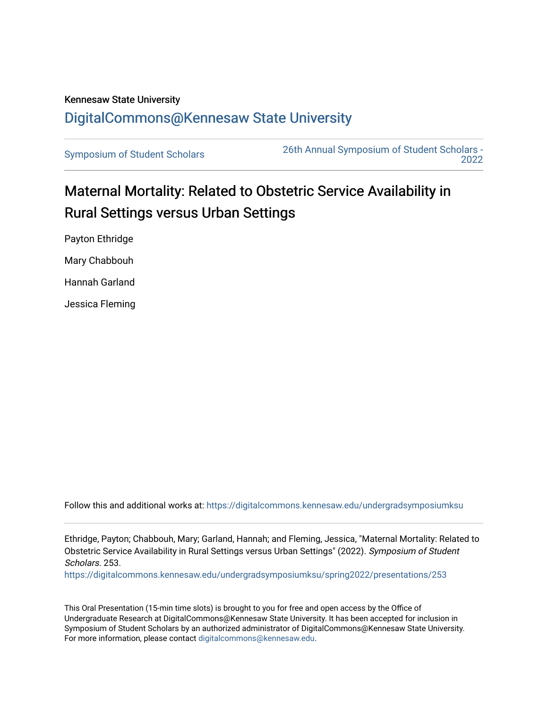## Kennesaw State University [DigitalCommons@Kennesaw State University](https://digitalcommons.kennesaw.edu/)

[Symposium of Student Scholars](https://digitalcommons.kennesaw.edu/undergradsymposiumksu) [26th Annual Symposium of Student Scholars -](https://digitalcommons.kennesaw.edu/undergradsymposiumksu/spring2022)  [2022](https://digitalcommons.kennesaw.edu/undergradsymposiumksu/spring2022) 

## Maternal Mortality: Related to Obstetric Service Availability in Rural Settings versus Urban Settings

Payton Ethridge Mary Chabbouh Hannah Garland Jessica Fleming

Follow this and additional works at: [https://digitalcommons.kennesaw.edu/undergradsymposiumksu](https://digitalcommons.kennesaw.edu/undergradsymposiumksu?utm_source=digitalcommons.kennesaw.edu%2Fundergradsymposiumksu%2Fspring2022%2Fpresentations%2F253&utm_medium=PDF&utm_campaign=PDFCoverPages) 

Ethridge, Payton; Chabbouh, Mary; Garland, Hannah; and Fleming, Jessica, "Maternal Mortality: Related to Obstetric Service Availability in Rural Settings versus Urban Settings" (2022). Symposium of Student Scholars. 253.

[https://digitalcommons.kennesaw.edu/undergradsymposiumksu/spring2022/presentations/253](https://digitalcommons.kennesaw.edu/undergradsymposiumksu/spring2022/presentations/253?utm_source=digitalcommons.kennesaw.edu%2Fundergradsymposiumksu%2Fspring2022%2Fpresentations%2F253&utm_medium=PDF&utm_campaign=PDFCoverPages)

This Oral Presentation (15-min time slots) is brought to you for free and open access by the Office of Undergraduate Research at DigitalCommons@Kennesaw State University. It has been accepted for inclusion in Symposium of Student Scholars by an authorized administrator of DigitalCommons@Kennesaw State University. For more information, please contact [digitalcommons@kennesaw.edu.](mailto:digitalcommons@kennesaw.edu)